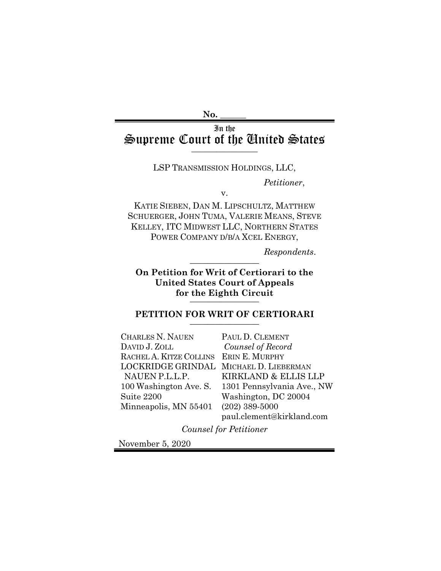#### **No. \_\_\_\_\_\_**

# In the Supreme Court of the United States

#### LSP TRANSMISSION HOLDINGS, LLC,

*Petitioner*,

v.

KATIE SIEBEN, DAN M. LIPSCHULTZ, MATTHEW SCHUERGER, JOHN TUMA, VALERIE MEANS, STEVE KELLEY, ITC MIDWEST LLC, NORTHERN STATES POWER COMPANY D/B/A XCEL ENERGY,

*Respondents*. \_\_\_\_\_\_\_\_\_\_\_\_\_\_\_\_

**On Petition for Writ of Certiorari to the United States Court of Appeals**  for the Eighth Circuit

## PETITION FOR WRIT OF CERTIORARI

CHARLES N. NAUEN DAVID J. ZOLL RACHEL A. KITZE COLLINS ERIN E. MURPHY LOCKRIDGE GRINDAL MICHAEL D. LIEBERMAN NAUEN P.L.L.P. 100 Washington Ave. S. Suite 2200 Minneapolis, MN 55401

PAUL D. CLEMENT *Counsel of Record* KIRKLAND & ELLIS LLP 1301 Pennsylvania Ave., NW Washington, DC 20004 (202) 389-5000 paul.clement@kirkland.com

*Counsel for Petitioner*

November 5, 2020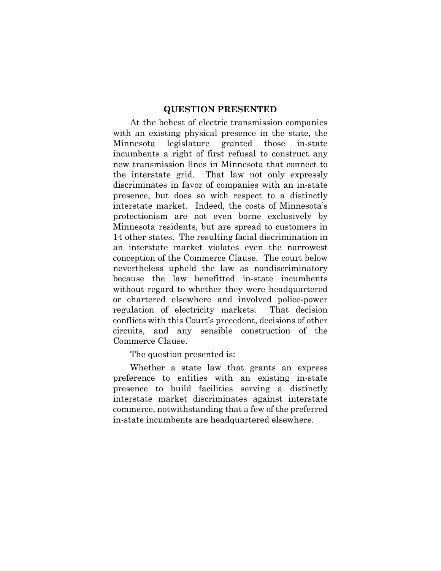#### **QUESTION PRESENTED**

At the behest of electric transmission companies with an existing physical presence in the state, the Minnesota legislature granted those in-state incumbents a right of first refusal to construct any new transmission lines in Minnesota that connect to the interstate grid. That law not only expressly discriminates in favor of companies with an in-state presence, but does so with respect to a distinctly interstate market. Indeed, the costs of Minnesota's protectionism are not even borne exclusively by Minnesota residents, but are spread to customers in 14 other states. The resulting facial discrimination in an interstate market violates even the narrowest conception of the Commerce Clause. The court below nevertheless upheld the law as nondiscriminatory because the law benefitted in-state incumbents without regard to whether they were headquartered or chartered elsewhere and involved police-power regulation of electricity markets. That decision conflicts with this Court's precedent, decisions of other circuits, and any sensible construction of the Commerce Clause.

The question presented is:

Whether a state law that grants an express preference to entities with an existing in-state presence to build facilities serving a distinctly interstate market discriminates against interstate commerce, notwithstanding that a few of the preferred in-state incumbents are headquartered elsewhere.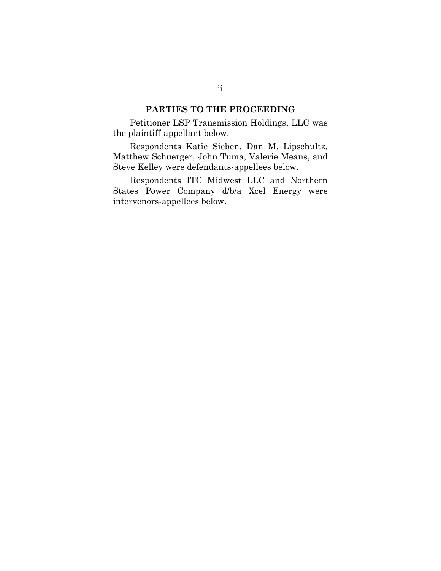### **PARTIES TO THE PROCEEDING**

Petitioner LSP Transmission Holdings, LLC was the plaintiff-appellant below.

Respondents Katie Sieben, Dan M. Lipschultz, Matthew Schuerger, John Tuma, Valerie Means, and Steve Kelley were defendants-appellees below.

Respondents ITC Midwest LLC and Northern States Power Company d/b/a Xcel Energy were intervenors-appellees below.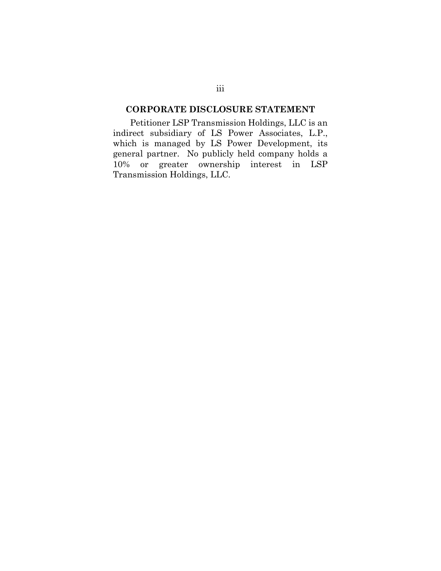## **CORPORATE DISCLOSURE STATEMENT**

Petitioner LSP Transmission Holdings, LLC is an indirect subsidiary of LS Power Associates, L.P., which is managed by LS Power Development, its general partner. No publicly held company holds a 10% or greater ownership interest in LSP Transmission Holdings, LLC.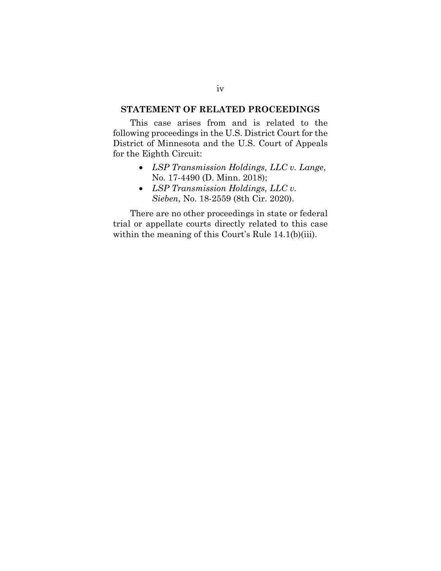## **STATEMENT OF RELATED PROCEEDINGS**

This case arises from and is related to the following proceedings in the U.S. District Court for the District of Minnesota and the U.S. Court of Appeals for the Eighth Circuit:

- *LSP Transmission Holdings, LLC v. Lange*, No. 17-4490 (D. Minn. 2018);
- *LSP Transmission Holdings, LLC v. Sieben*, No. 18-2559 (8th Cir. 2020).

There are no other proceedings in state or federal trial or appellate courts directly related to this case within the meaning of this Court's Rule 14.1(b)(iii).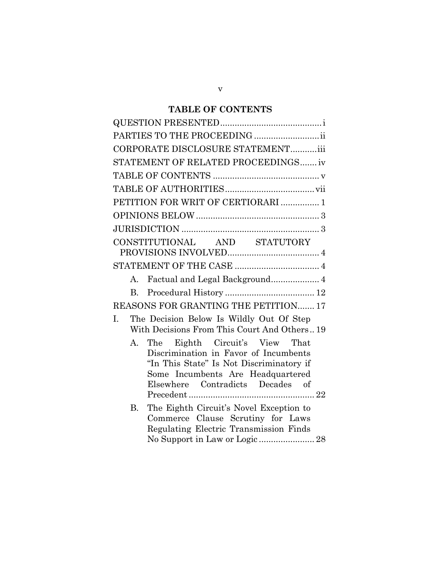## **TABLE OF CONTENTS**

| PARTIES TO THE PROCEEDING                                                                                                                                                                          |
|----------------------------------------------------------------------------------------------------------------------------------------------------------------------------------------------------|
| CORPORATE DISCLOSURE STATEMENTiii                                                                                                                                                                  |
| STATEMENT OF RELATED PROCEEDINGS iv                                                                                                                                                                |
|                                                                                                                                                                                                    |
|                                                                                                                                                                                                    |
| PETITION FOR WRIT OF CERTIORARI  1                                                                                                                                                                 |
|                                                                                                                                                                                                    |
|                                                                                                                                                                                                    |
| CONSTITUTIONAL AND STATUTORY                                                                                                                                                                       |
|                                                                                                                                                                                                    |
|                                                                                                                                                                                                    |
| $A_{\cdot}$                                                                                                                                                                                        |
| $\mathbf{B}$                                                                                                                                                                                       |
| REASONS FOR GRANTING THE PETITION 17                                                                                                                                                               |
| The Decision Below Is Wildly Out Of Step<br>I.<br>With Decisions From This Court And Others 19                                                                                                     |
| The Eighth Circuit's View That<br>А.<br>Discrimination in Favor of Incumbents<br>"In This State" Is Not Discriminatory if<br>Some Incumbents Are Headquartered<br>Elsewhere Contradicts Decades of |
| <b>B.</b><br>The Eighth Circuit's Novel Exception to<br>Commerce Clause Scrutiny for Laws<br>Regulating Electric Transmission Finds<br>No Support in Law or Logic 28                               |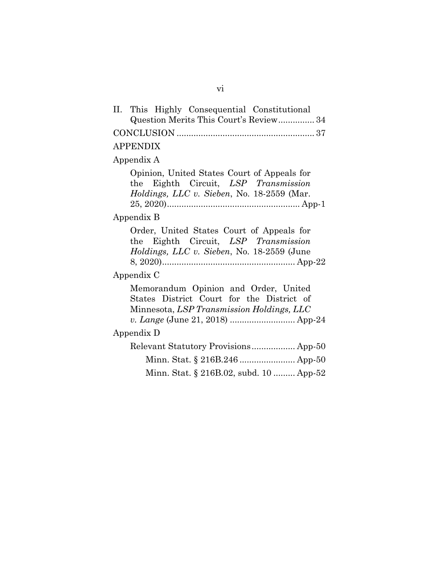| II. This Highly Consequential Constitutional<br>Question Merits This Court's Review 34                                                                             |
|--------------------------------------------------------------------------------------------------------------------------------------------------------------------|
|                                                                                                                                                                    |
| <b>APPENDIX</b>                                                                                                                                                    |
| Appendix A                                                                                                                                                         |
| Opinion, United States Court of Appeals for<br>the Eighth Circuit, LSP Transmission<br>Holdings, LLC v. Sieben, No. 18-2559 (Mar.                                  |
| Appendix B                                                                                                                                                         |
| Order, United States Court of Appeals for<br>the Eighth Circuit, LSP Transmission<br><i>Holdings, LLC v. Sieben, No.</i> 18-2559 (June                             |
| Appendix C                                                                                                                                                         |
| Memorandum Opinion and Order, United<br>States District Court for the District of<br>Minnesota, LSP Transmission Holdings, LLC<br>v. Lange (June 21, 2018)  App-24 |
| Appendix D                                                                                                                                                         |
| Relevant Statutory Provisions App-50                                                                                                                               |
|                                                                                                                                                                    |
| Minn. Stat. § 216B.02, subd. 10  App-52                                                                                                                            |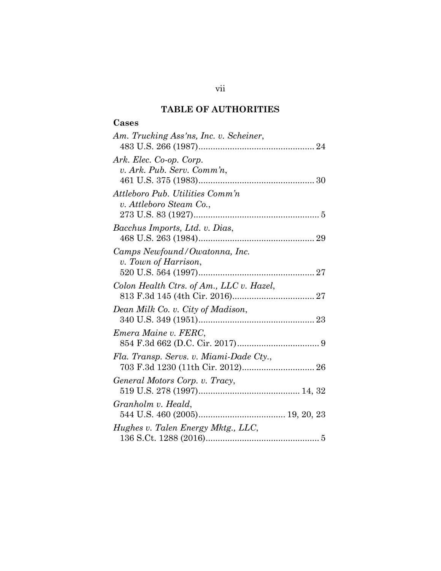## **TABLE OF AUTHORITIES**

## **Cases**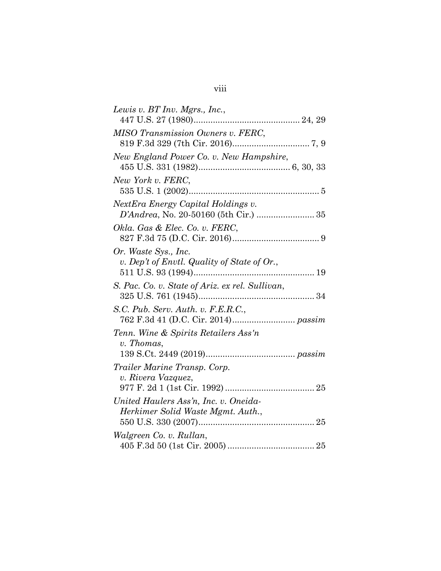| Lewis v. BT Inv. Mgrs., Inc.,                                               |
|-----------------------------------------------------------------------------|
| MISO Transmission Owners v. FERC,                                           |
| New England Power Co. v. New Hampshire,                                     |
| New York v. FERC,                                                           |
| NextEra Energy Capital Holdings v.<br>D'Andrea, No. 20-50160 (5th Cir.)  35 |
| Okla. Gas & Elec. Co. v. FERC,                                              |
| Or. Waste Sys., Inc.<br>v. Dep't of Envtl. Quality of State of Or.,         |
| S. Pac. Co. v. State of Ariz. ex rel. Sullivan,                             |
| S.C. Pub. Serv. Auth. v. F.E.R.C.,                                          |
| Tenn. Wine & Spirits Retailers Ass'n<br>v. Thomas,                          |
| Trailer Marine Transp. Corp.<br>v. Rivera Vazquez,                          |
| United Haulers Ass'n, Inc. v. Oneida-<br>Herkimer Solid Waste Mgmt. Auth.,  |
| Walgreen Co. v. Rullan,                                                     |
|                                                                             |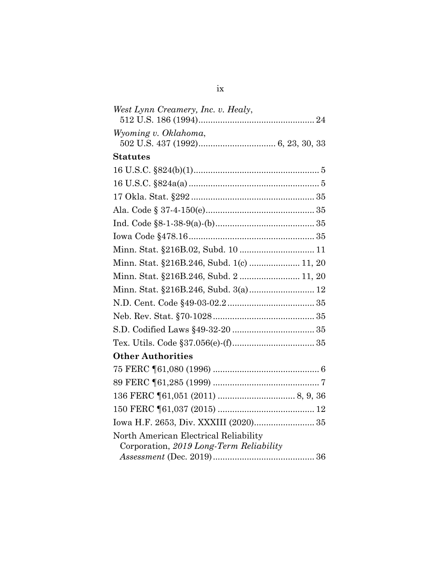| West Lynn Creamery, Inc. v. Healy,        |
|-------------------------------------------|
| Wyoming v. Oklahoma,                      |
|                                           |
| <b>Statutes</b>                           |
|                                           |
|                                           |
|                                           |
|                                           |
|                                           |
|                                           |
|                                           |
| Minn. Stat. §216B.246, Subd. 1(c)  11, 20 |
| Minn. Stat. §216B.246, Subd. 2 11, 20     |
|                                           |
|                                           |
|                                           |
|                                           |
|                                           |
| <b>Other Authorities</b>                  |
|                                           |
|                                           |
|                                           |
|                                           |
| Iowa H.F. 2653, Div. XXXIII (2020) 35     |
| North American Electrical Reliability     |
| Corporation, 2019 Long-Term Reliability   |
|                                           |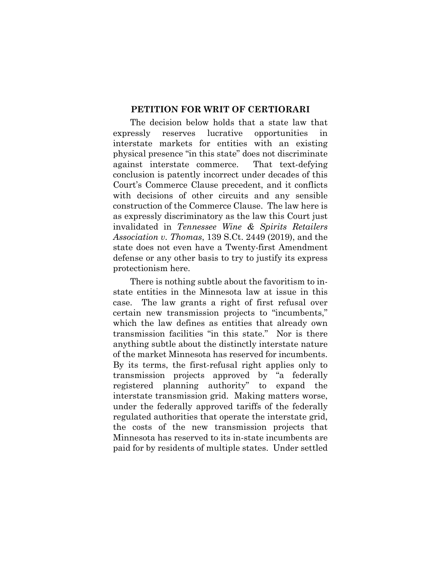### **PETITION FOR WRIT OF CERTIORARI**

The decision below holds that a state law that expressly reserves lucrative opportunities in interstate markets for entities with an existing physical presence "in this state" does not discriminate against interstate commerce. That text-defying conclusion is patently incorrect under decades of this Court's Commerce Clause precedent, and it conflicts with decisions of other circuits and any sensible construction of the Commerce Clause. The law here is as expressly discriminatory as the law this Court just invalidated in *Tennessee Wine & Spirits Retailers Association v. Thomas*, 139 S.Ct. 2449 (2019), and the state does not even have a Twenty-first Amendment defense or any other basis to try to justify its express protectionism here.

There is nothing subtle about the favoritism to instate entities in the Minnesota law at issue in this case. The law grants a right of first refusal over certain new transmission projects to "incumbents," which the law defines as entities that already own transmission facilities "in this state." Nor is there anything subtle about the distinctly interstate nature of the market Minnesota has reserved for incumbents. By its terms, the first-refusal right applies only to transmission projects approved by "a federally registered planning authority" to expand the interstate transmission grid. Making matters worse, under the federally approved tariffs of the federally regulated authorities that operate the interstate grid, the costs of the new transmission projects that Minnesota has reserved to its in-state incumbents are paid for by residents of multiple states. Under settled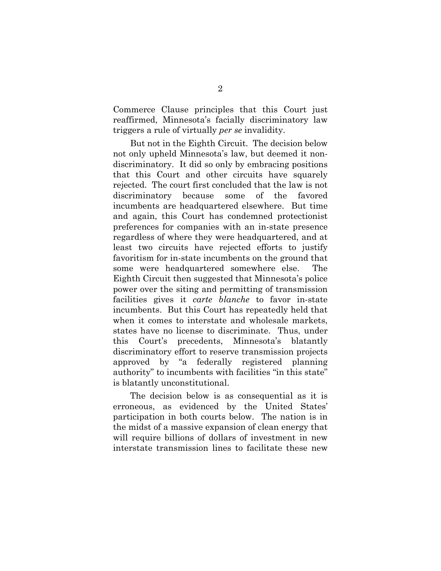Commerce Clause principles that this Court just reaffirmed, Minnesota's facially discriminatory law triggers a rule of virtually *per se* invalidity.

But not in the Eighth Circuit. The decision below not only upheld Minnesota's law, but deemed it nondiscriminatory. It did so only by embracing positions that this Court and other circuits have squarely rejected. The court first concluded that the law is not discriminatory because some of the favored incumbents are headquartered elsewhere. But time and again, this Court has condemned protectionist preferences for companies with an in-state presence regardless of where they were headquartered, and at least two circuits have rejected efforts to justify favoritism for in-state incumbents on the ground that some were headquartered somewhere else. The Eighth Circuit then suggested that Minnesota's police power over the siting and permitting of transmission facilities gives it *carte blanche* to favor in-state incumbents. But this Court has repeatedly held that when it comes to interstate and wholesale markets, states have no license to discriminate. Thus, under this Court's precedents, Minnesota's blatantly discriminatory effort to reserve transmission projects approved by "a federally registered planning authority" to incumbents with facilities "in this state" is blatantly unconstitutional.

The decision below is as consequential as it is erroneous, as evidenced by the United States' participation in both courts below. The nation is in the midst of a massive expansion of clean energy that will require billions of dollars of investment in new interstate transmission lines to facilitate these new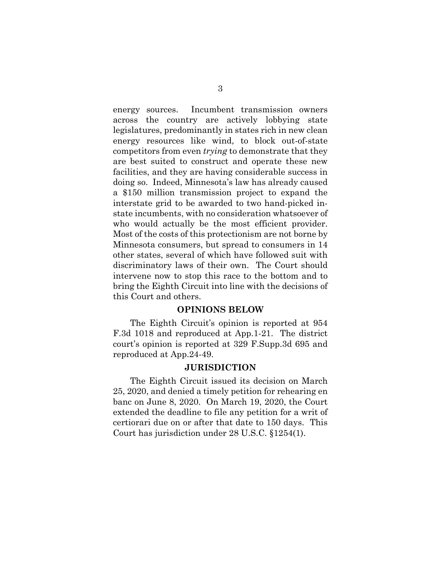energy sources. Incumbent transmission owners across the country are actively lobbying state legislatures, predominantly in states rich in new clean energy resources like wind, to block out-of-state competitors from even *trying* to demonstrate that they are best suited to construct and operate these new facilities, and they are having considerable success in doing so. Indeed, Minnesota's law has already caused a \$150 million transmission project to expand the interstate grid to be awarded to two hand-picked instate incumbents, with no consideration whatsoever of who would actually be the most efficient provider. Most of the costs of this protectionism are not borne by Minnesota consumers, but spread to consumers in 14 other states, several of which have followed suit with discriminatory laws of their own. The Court should intervene now to stop this race to the bottom and to bring the Eighth Circuit into line with the decisions of this Court and others.

#### **OPINIONS BELOW**

The Eighth Circuit's opinion is reported at 954 F.3d 1018 and reproduced at App.1-21. The district court's opinion is reported at 329 F.Supp.3d 695 and reproduced at App.24-49.

### **JURISDICTION**

The Eighth Circuit issued its decision on March 25, 2020, and denied a timely petition for rehearing en banc on June 8, 2020. On March 19, 2020, the Court extended the deadline to file any petition for a writ of certiorari due on or after that date to 150 days. This Court has jurisdiction under 28 U.S.C. §1254(1).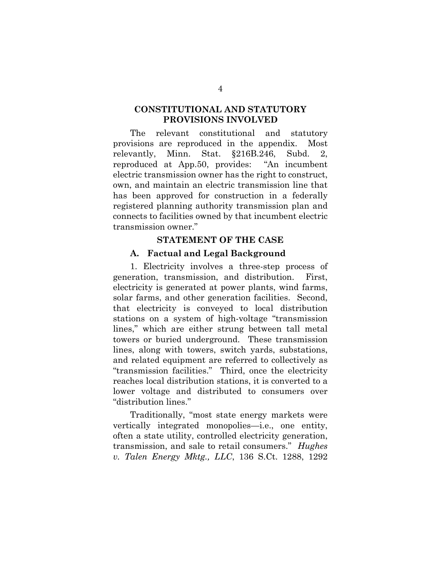## **CONSTITUTIONAL AND STATUTORY PROVISIONS INVOLVED**

The relevant constitutional and statutory provisions are reproduced in the appendix. Most relevantly, Minn. Stat. §216B.246, Subd. 2, reproduced at App.50, provides: "An incumbent electric transmission owner has the right to construct, own, and maintain an electric transmission line that has been approved for construction in a federally registered planning authority transmission plan and connects to facilities owned by that incumbent electric transmission owner."

#### **STATEMENT OF THE CASE**

### **A. Factual and Legal Background**

1. Electricity involves a three-step process of generation, transmission, and distribution. First, electricity is generated at power plants, wind farms, solar farms, and other generation facilities. Second, that electricity is conveyed to local distribution stations on a system of high-voltage "transmission lines," which are either strung between tall metal towers or buried underground. These transmission lines, along with towers, switch yards, substations, and related equipment are referred to collectively as "transmission facilities." Third, once the electricity reaches local distribution stations, it is converted to a lower voltage and distributed to consumers over "distribution lines."

Traditionally, "most state energy markets were vertically integrated monopolies—i.e., one entity, often a state utility, controlled electricity generation, transmission, and sale to retail consumers." *Hughes v. Talen Energy Mktg., LLC*, 136 S.Ct. 1288, 1292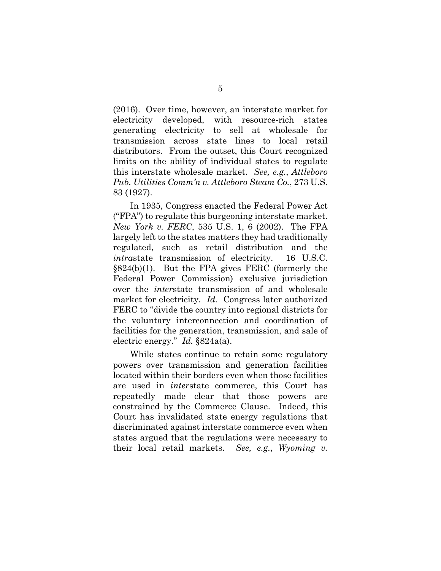(2016). Over time, however, an interstate market for electricity developed, with resource-rich states generating electricity to sell at wholesale for transmission across state lines to local retail distributors. From the outset, this Court recognized limits on the ability of individual states to regulate this interstate wholesale market. *See, e.g.*, *Attleboro Pub. Utilities Comm'n v. Attleboro Steam Co.*, 273 U.S. 83 (1927).

In 1935, Congress enacted the Federal Power Act ("FPA") to regulate this burgeoning interstate market. *New York v. FERC*, 535 U.S. 1, 6 (2002). The FPA largely left to the states matters they had traditionally regulated, such as retail distribution and the *intra*state transmission of electricity. 16 U.S.C. §824(b)(1). But the FPA gives FERC (formerly the Federal Power Commission) exclusive jurisdiction over the *inter*state transmission of and wholesale market for electricity. *Id.* Congress later authorized FERC to "divide the country into regional districts for the voluntary interconnection and coordination of facilities for the generation, transmission, and sale of electric energy." *Id.* §824a(a).

While states continue to retain some regulatory powers over transmission and generation facilities located within their borders even when those facilities are used in *inter*state commerce, this Court has repeatedly made clear that those powers are constrained by the Commerce Clause. Indeed, this Court has invalidated state energy regulations that discriminated against interstate commerce even when states argued that the regulations were necessary to their local retail markets. *See, e.g.*, *Wyoming v.*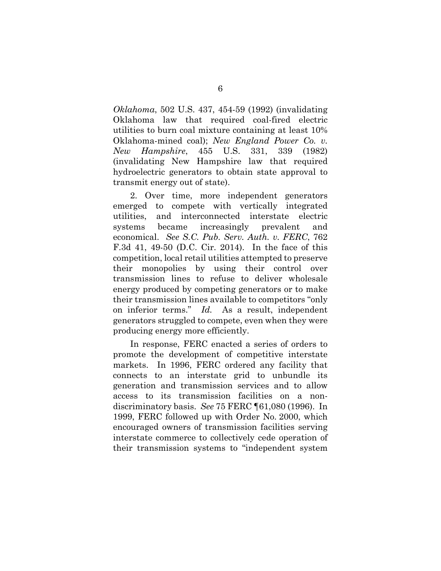*Oklahoma*, 502 U.S. 437, 454-59 (1992) (invalidating Oklahoma law that required coal-fired electric utilities to burn coal mixture containing at least 10% Oklahoma-mined coal); *New England Power Co. v. New Hampshire*, 455 U.S. 331, 339 (1982) (invalidating New Hampshire law that required hydroelectric generators to obtain state approval to transmit energy out of state).

2. Over time, more independent generators emerged to compete with vertically integrated utilities, and interconnected interstate electric systems became increasingly prevalent and economical. *See S.C. Pub. Serv. Auth. v. FERC*, 762 F.3d 41, 49-50 (D.C. Cir. 2014). In the face of this competition, local retail utilities attempted to preserve their monopolies by using their control over transmission lines to refuse to deliver wholesale energy produced by competing generators or to make their transmission lines available to competitors "only on inferior terms." *Id.* As a result, independent generators struggled to compete, even when they were producing energy more efficiently.

In response, FERC enacted a series of orders to promote the development of competitive interstate markets. In 1996, FERC ordered any facility that connects to an interstate grid to unbundle its generation and transmission services and to allow access to its transmission facilities on a nondiscriminatory basis. *See* 75 FERC ¶61,080 (1996). In 1999, FERC followed up with Order No. 2000, which encouraged owners of transmission facilities serving interstate commerce to collectively cede operation of their transmission systems to "independent system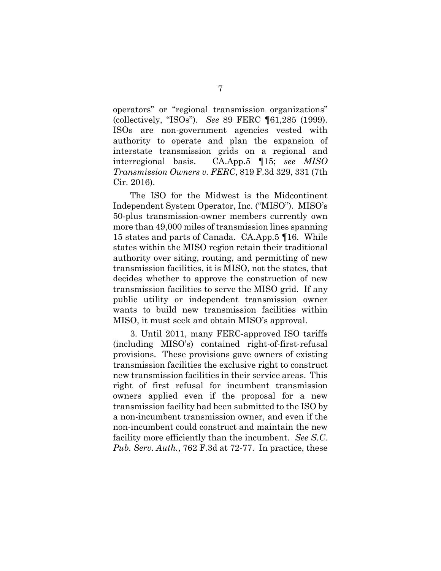operators" or "regional transmission organizations" (collectively, "ISOs"). *See* 89 FERC ¶61,285 (1999). ISOs are non-government agencies vested with authority to operate and plan the expansion of interstate transmission grids on a regional and interregional basis. CA.App.5 ¶15; *see MISO Transmission Owners v. FERC*, 819 F.3d 329, 331 (7th Cir. 2016).

The ISO for the Midwest is the Midcontinent Independent System Operator, Inc. ("MISO"). MISO's 50-plus transmission-owner members currently own more than 49,000 miles of transmission lines spanning 15 states and parts of Canada. CA.App.5 ¶16. While states within the MISO region retain their traditional authority over siting, routing, and permitting of new transmission facilities, it is MISO, not the states, that decides whether to approve the construction of new transmission facilities to serve the MISO grid. If any public utility or independent transmission owner wants to build new transmission facilities within MISO, it must seek and obtain MISO's approval.

3. Until 2011, many FERC-approved ISO tariffs (including MISO's) contained right-of-first-refusal provisions. These provisions gave owners of existing transmission facilities the exclusive right to construct new transmission facilities in their service areas. This right of first refusal for incumbent transmission owners applied even if the proposal for a new transmission facility had been submitted to the ISO by a non-incumbent transmission owner, and even if the non-incumbent could construct and maintain the new facility more efficiently than the incumbent. *See S.C. Pub. Serv. Auth.*, 762 F.3d at 72-77. In practice, these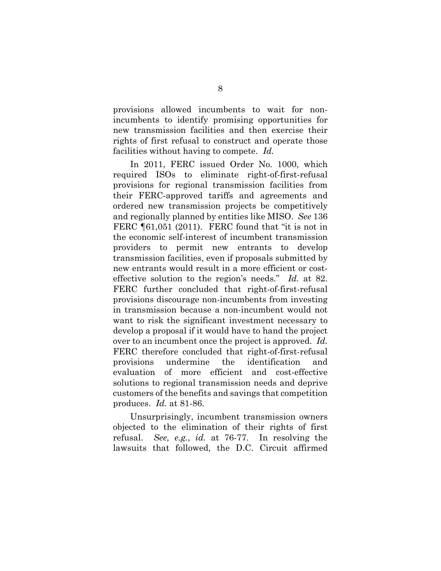provisions allowed incumbents to wait for nonincumbents to identify promising opportunities for new transmission facilities and then exercise their rights of first refusal to construct and operate those facilities without having to compete. *Id.*

In 2011, FERC issued Order No. 1000, which required ISOs to eliminate right-of-first-refusal provisions for regional transmission facilities from their FERC-approved tariffs and agreements and ordered new transmission projects be competitively and regionally planned by entities like MISO. *See* 136 FERC [61,051 (2011). FERC found that "it is not in the economic self-interest of incumbent transmission providers to permit new entrants to develop transmission facilities, even if proposals submitted by new entrants would result in a more efficient or costeffective solution to the region's needs." *Id.* at 82. FERC further concluded that right-of-first-refusal provisions discourage non-incumbents from investing in transmission because a non-incumbent would not want to risk the significant investment necessary to develop a proposal if it would have to hand the project over to an incumbent once the project is approved. *Id.* FERC therefore concluded that right-of-first-refusal provisions undermine the identification and evaluation of more efficient and cost-effective solutions to regional transmission needs and deprive customers of the benefits and savings that competition produces. *Id.* at 81-86.

Unsurprisingly, incumbent transmission owners objected to the elimination of their rights of first refusal. *See, e.g.*, *id.* at 76-77. In resolving the lawsuits that followed, the D.C. Circuit affirmed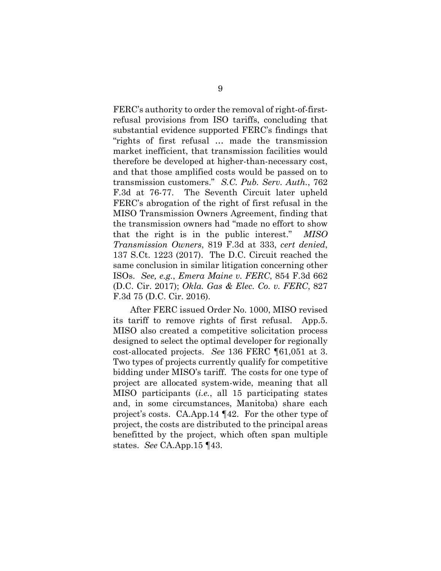FERC's authority to order the removal of right-of-firstrefusal provisions from ISO tariffs, concluding that substantial evidence supported FERC's findings that "rights of first refusal … made the transmission market inefficient, that transmission facilities would therefore be developed at higher-than-necessary cost, and that those amplified costs would be passed on to transmission customers." *S.C. Pub. Serv. Auth.*, 762 F.3d at 76-77. The Seventh Circuit later upheld FERC's abrogation of the right of first refusal in the MISO Transmission Owners Agreement, finding that the transmission owners had "made no effort to show that the right is in the public interest." *MISO Transmission Owners*, 819 F.3d at 333, *cert denied*, 137 S.Ct. 1223 (2017). The D.C. Circuit reached the same conclusion in similar litigation concerning other ISOs. *See, e.g.*, *Emera Maine v. FERC*, 854 F.3d 662 (D.C. Cir. 2017); *Okla. Gas & Elec. Co. v. FERC*, 827 F.3d 75 (D.C. Cir. 2016).

After FERC issued Order No. 1000, MISO revised its tariff to remove rights of first refusal. App.5. MISO also created a competitive solicitation process designed to select the optimal developer for regionally cost-allocated projects. *See* 136 FERC ¶61,051 at 3. Two types of projects currently qualify for competitive bidding under MISO's tariff. The costs for one type of project are allocated system-wide, meaning that all MISO participants (*i.e.*, all 15 participating states and, in some circumstances, Manitoba) share each project's costs. CA.App.14 ¶42. For the other type of project, the costs are distributed to the principal areas benefitted by the project, which often span multiple states. *See* CA.App.15 ¶43.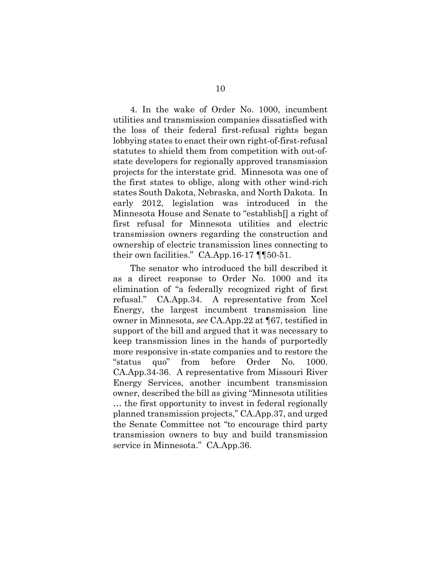4. In the wake of Order No. 1000, incumbent utilities and transmission companies dissatisfied with the loss of their federal first-refusal rights began lobbying states to enact their own right-of-first-refusal statutes to shield them from competition with out-ofstate developers for regionally approved transmission projects for the interstate grid. Minnesota was one of the first states to oblige, along with other wind-rich states South Dakota, Nebraska, and North Dakota. In early 2012, legislation was introduced in the Minnesota House and Senate to "establish[] a right of first refusal for Minnesota utilities and electric transmission owners regarding the construction and ownership of electric transmission lines connecting to their own facilities." CA.App.16-17 ¶¶50-51.

The senator who introduced the bill described it as a direct response to Order No. 1000 and its elimination of "a federally recognized right of first refusal." CA.App.34. A representative from Xcel Energy, the largest incumbent transmission line owner in Minnesota, *see* CA.App.22 at ¶67, testified in support of the bill and argued that it was necessary to keep transmission lines in the hands of purportedly more responsive in-state companies and to restore the "status quo" from before Order No. 1000. CA.App.34-36. A representative from Missouri River Energy Services, another incumbent transmission owner, described the bill as giving "Minnesota utilities … the first opportunity to invest in federal regionally planned transmission projects," CA.App.37, and urged the Senate Committee not "to encourage third party transmission owners to buy and build transmission service in Minnesota." CA.App.36.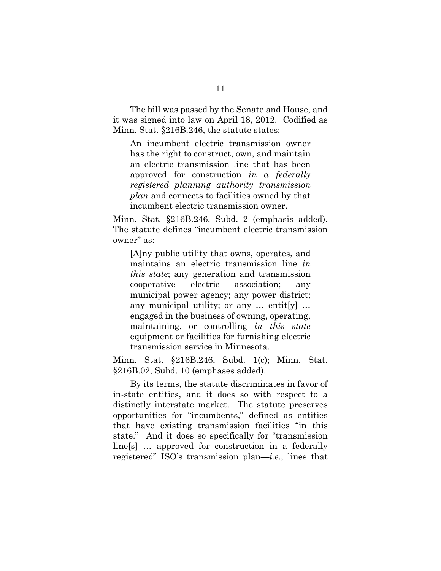The bill was passed by the Senate and House, and it was signed into law on April 18, 2012. Codified as Minn. Stat. §216B.246, the statute states:

An incumbent electric transmission owner has the right to construct, own, and maintain an electric transmission line that has been approved for construction *in a federally registered planning authority transmission plan* and connects to facilities owned by that incumbent electric transmission owner.

Minn. Stat. §216B.246, Subd. 2 (emphasis added). The statute defines "incumbent electric transmission owner" as:

[A]ny public utility that owns, operates, and maintains an electric transmission line *in this state*; any generation and transmission cooperative electric association; any municipal power agency; any power district; any municipal utility; or any … entit[y] … engaged in the business of owning, operating, maintaining, or controlling *in this state* equipment or facilities for furnishing electric transmission service in Minnesota.

Minn. Stat. §216B.246, Subd. 1(c); Minn. Stat. §216B.02, Subd. 10 (emphases added).

By its terms, the statute discriminates in favor of in-state entities, and it does so with respect to a distinctly interstate market. The statute preserves opportunities for "incumbents," defined as entities that have existing transmission facilities "in this state." And it does so specifically for "transmission line[s] … approved for construction in a federally registered" ISO's transmission plan—*i.e.*, lines that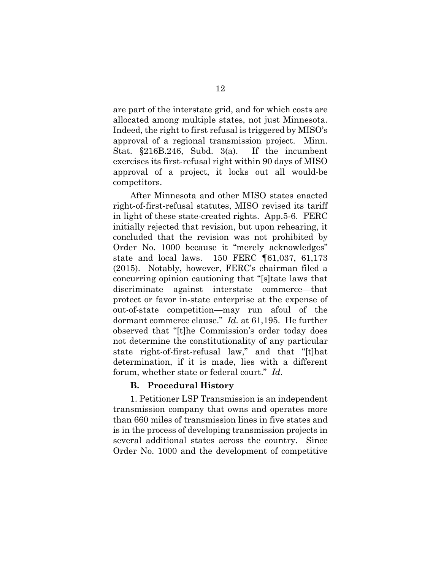are part of the interstate grid, and for which costs are allocated among multiple states, not just Minnesota. Indeed, the right to first refusal is triggered by MISO's approval of a regional transmission project. Minn. Stat. §216B.246, Subd. 3(a). If the incumbent exercises its first-refusal right within 90 days of MISO approval of a project, it locks out all would-be competitors.

After Minnesota and other MISO states enacted right-of-first-refusal statutes, MISO revised its tariff in light of these state-created rights. App.5-6. FERC initially rejected that revision, but upon rehearing, it concluded that the revision was not prohibited by Order No. 1000 because it "merely acknowledges" state and local laws. 150 FERC ¶61,037, 61,173 (2015). Notably, however, FERC's chairman filed a concurring opinion cautioning that "[s]tate laws that discriminate against interstate commerce—that protect or favor in-state enterprise at the expense of out-of-state competition—may run afoul of the dormant commerce clause." *Id.* at 61,195. He further observed that "[t]he Commission's order today does not determine the constitutionality of any particular state right-of-first-refusal law," and that "[t]hat determination, if it is made, lies with a different forum, whether state or federal court." *Id*.

## **B. Procedural History**

1. Petitioner LSP Transmission is an independent transmission company that owns and operates more than 660 miles of transmission lines in five states and is in the process of developing transmission projects in several additional states across the country. Since Order No. 1000 and the development of competitive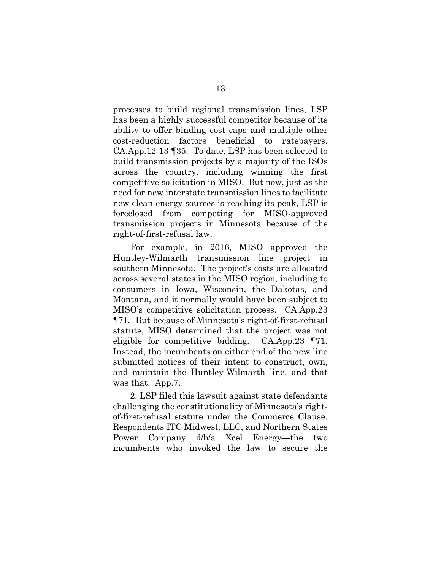processes to build regional transmission lines, LSP has been a highly successful competitor because of its ability to offer binding cost caps and multiple other cost-reduction factors beneficial to ratepayers. CA.App.12-13 ¶35. To date, LSP has been selected to build transmission projects by a majority of the ISOs across the country, including winning the first competitive solicitation in MISO. But now, just as the need for new interstate transmission lines to facilitate new clean energy sources is reaching its peak, LSP is foreclosed from competing for MISO-approved transmission projects in Minnesota because of the right-of-first-refusal law.

For example, in 2016, MISO approved the Huntley-Wilmarth transmission line project in southern Minnesota. The project's costs are allocated across several states in the MISO region, including to consumers in Iowa, Wisconsin, the Dakotas, and Montana, and it normally would have been subject to MISO's competitive solicitation process. CA.App.23 ¶71. But because of Minnesota's right-of-first-refusal statute, MISO determined that the project was not eligible for competitive bidding. CA.App.23 ¶71. Instead, the incumbents on either end of the new line submitted notices of their intent to construct, own, and maintain the Huntley-Wilmarth line, and that was that. App.7.

2. LSP filed this lawsuit against state defendants challenging the constitutionality of Minnesota's rightof-first-refusal statute under the Commerce Clause. Respondents ITC Midwest, LLC, and Northern States Power Company d/b/a Xcel Energy—the two incumbents who invoked the law to secure the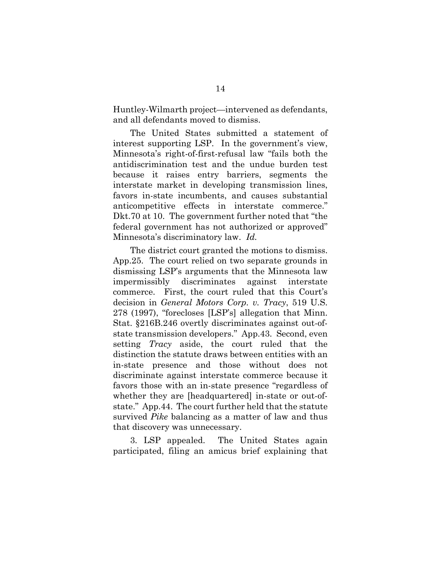Huntley-Wilmarth project—intervened as defendants, and all defendants moved to dismiss.

The United States submitted a statement of interest supporting LSP. In the government's view, Minnesota's right-of-first-refusal law "fails both the antidiscrimination test and the undue burden test because it raises entry barriers, segments the interstate market in developing transmission lines, favors in-state incumbents, and causes substantial anticompetitive effects in interstate commerce." Dkt.70 at 10. The government further noted that "the federal government has not authorized or approved" Minnesota's discriminatory law. *Id.*

The district court granted the motions to dismiss. App.25. The court relied on two separate grounds in dismissing LSP's arguments that the Minnesota law impermissibly discriminates against interstate commerce. First, the court ruled that this Court's decision in *General Motors Corp. v. Tracy*, 519 U.S. 278 (1997), "forecloses [LSP's] allegation that Minn. Stat. §216B.246 overtly discriminates against out-ofstate transmission developers." App.43. Second, even setting *Tracy* aside, the court ruled that the distinction the statute draws between entities with an in-state presence and those without does not discriminate against interstate commerce because it favors those with an in-state presence "regardless of whether they are [headquartered] in-state or out-ofstate." App.44. The court further held that the statute survived *Pike* balancing as a matter of law and thus that discovery was unnecessary.

3. LSP appealed. The United States again participated, filing an amicus brief explaining that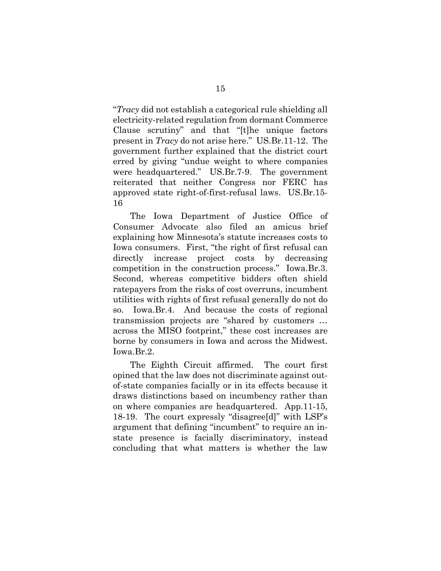"*Tracy* did not establish a categorical rule shielding all electricity-related regulation from dormant Commerce Clause scrutiny" and that "[t]he unique factors present in *Tracy* do not arise here." US.Br.11-12. The government further explained that the district court erred by giving "undue weight to where companies were headquartered." US.Br.7-9. The government reiterated that neither Congress nor FERC has approved state right-of-first-refusal laws. US.Br.15- 16

The Iowa Department of Justice Office of Consumer Advocate also filed an amicus brief explaining how Minnesota's statute increases costs to Iowa consumers. First, "the right of first refusal can directly increase project costs by decreasing competition in the construction process." Iowa.Br.3. Second, whereas competitive bidders often shield ratepayers from the risks of cost overruns, incumbent utilities with rights of first refusal generally do not do so. Iowa.Br.4. And because the costs of regional transmission projects are "shared by customers … across the MISO footprint," these cost increases are borne by consumers in Iowa and across the Midwest. Iowa.Br.2.

The Eighth Circuit affirmed. The court first opined that the law does not discriminate against outof-state companies facially or in its effects because it draws distinctions based on incumbency rather than on where companies are headquartered. App.11-15, 18-19. The court expressly "disagree[d]" with LSP's argument that defining "incumbent" to require an instate presence is facially discriminatory, instead concluding that what matters is whether the law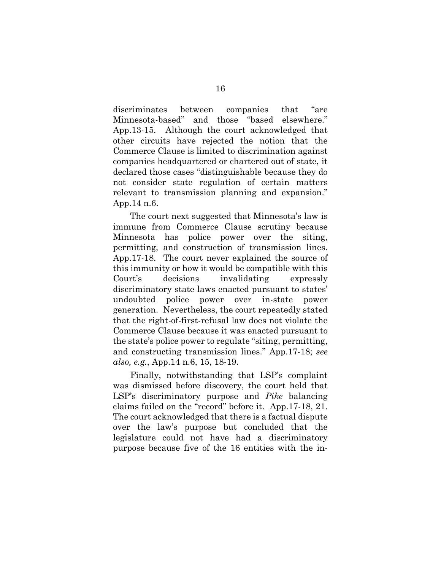discriminates between companies that "are Minnesota-based" and those "based elsewhere." App.13-15. Although the court acknowledged that other circuits have rejected the notion that the Commerce Clause is limited to discrimination against companies headquartered or chartered out of state, it declared those cases "distinguishable because they do not consider state regulation of certain matters relevant to transmission planning and expansion." App.14 n.6.

The court next suggested that Minnesota's law is immune from Commerce Clause scrutiny because Minnesota has police power over the siting, permitting, and construction of transmission lines. App.17-18. The court never explained the source of this immunity or how it would be compatible with this Court's decisions invalidating expressly discriminatory state laws enacted pursuant to states' undoubted police power over in-state power generation. Nevertheless, the court repeatedly stated that the right-of-first-refusal law does not violate the Commerce Clause because it was enacted pursuant to the state's police power to regulate "siting, permitting, and constructing transmission lines." App.17-18; *see also, e.g.*, App.14 n.6, 15, 18-19.

Finally, notwithstanding that LSP's complaint was dismissed before discovery, the court held that LSP's discriminatory purpose and *Pike* balancing claims failed on the "record" before it. App.17-18, 21. The court acknowledged that there is a factual dispute over the law's purpose but concluded that the legislature could not have had a discriminatory purpose because five of the 16 entities with the in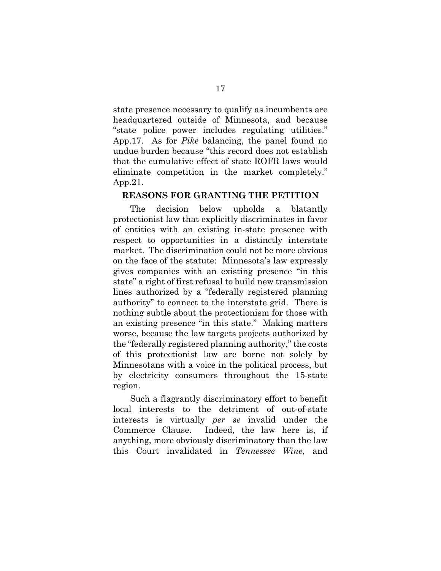state presence necessary to qualify as incumbents are headquartered outside of Minnesota, and because "state police power includes regulating utilities." App.17. As for *Pike* balancing, the panel found no undue burden because "this record does not establish that the cumulative effect of state ROFR laws would eliminate competition in the market completely." App.21.

## **REASONS FOR GRANTING THE PETITION**

The decision below upholds a blatantly protectionist law that explicitly discriminates in favor of entities with an existing in-state presence with respect to opportunities in a distinctly interstate market. The discrimination could not be more obvious on the face of the statute: Minnesota's law expressly gives companies with an existing presence "in this state" a right of first refusal to build new transmission lines authorized by a "federally registered planning authority" to connect to the interstate grid. There is nothing subtle about the protectionism for those with an existing presence "in this state." Making matters worse, because the law targets projects authorized by the "federally registered planning authority," the costs of this protectionist law are borne not solely by Minnesotans with a voice in the political process, but by electricity consumers throughout the 15-state region.

Such a flagrantly discriminatory effort to benefit local interests to the detriment of out-of-state interests is virtually *per se* invalid under the Commerce Clause. Indeed, the law here is, if anything, more obviously discriminatory than the law this Court invalidated in *Tennessee Wine*, and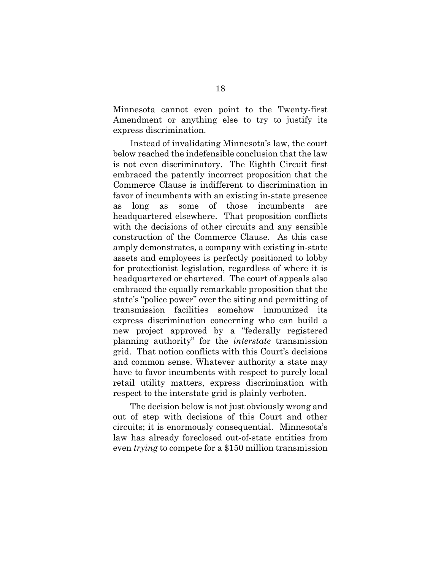Minnesota cannot even point to the Twenty-first Amendment or anything else to try to justify its express discrimination.

Instead of invalidating Minnesota's law, the court below reached the indefensible conclusion that the law is not even discriminatory. The Eighth Circuit first embraced the patently incorrect proposition that the Commerce Clause is indifferent to discrimination in favor of incumbents with an existing in-state presence as long as some of those incumbents are headquartered elsewhere. That proposition conflicts with the decisions of other circuits and any sensible construction of the Commerce Clause. As this case amply demonstrates, a company with existing in-state assets and employees is perfectly positioned to lobby for protectionist legislation, regardless of where it is headquartered or chartered. The court of appeals also embraced the equally remarkable proposition that the state's "police power" over the siting and permitting of transmission facilities somehow immunized its express discrimination concerning who can build a new project approved by a "federally registered planning authority" for the *interstate* transmission grid. That notion conflicts with this Court's decisions and common sense. Whatever authority a state may have to favor incumbents with respect to purely local retail utility matters, express discrimination with respect to the interstate grid is plainly verboten.

The decision below is not just obviously wrong and out of step with decisions of this Court and other circuits; it is enormously consequential. Minnesota's law has already foreclosed out-of-state entities from even *trying* to compete for a \$150 million transmission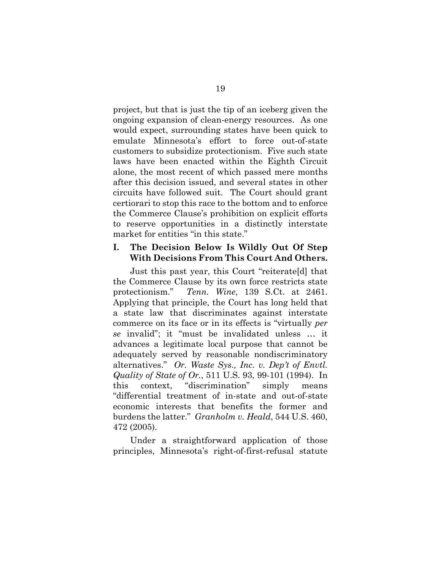project, but that is just the tip of an iceberg given the ongoing expansion of clean-energy resources. As one would expect, surrounding states have been quick to emulate Minnesota's effort to force out-of-state customers to subsidize protectionism. Five such state laws have been enacted within the Eighth Circuit alone, the most recent of which passed mere months after this decision issued, and several states in other circuits have followed suit. The Court should grant certiorari to stop this race to the bottom and to enforce the Commerce Clause's prohibition on explicit efforts to reserve opportunities in a distinctly interstate market for entities "in this state."

### **I. The Decision Below Is Wildly Out Of Step With Decisions From This Court And Others.**

Just this past year, this Court "reiterate[d] that the Commerce Clause by its own force restricts state protectionism." *Tenn. Wine*, 139 S.Ct. at 2461. Applying that principle, the Court has long held that a state law that discriminates against interstate commerce on its face or in its effects is "virtually *per se* invalid"; it "must be invalidated unless … it advances a legitimate local purpose that cannot be adequately served by reasonable nondiscriminatory alternatives." *Or. Waste Sys., Inc. v. Dep't of Envtl. Quality of State of Or.*, 511 U.S. 93, 99-101 (1994). In this context, "discrimination" simply means "differential treatment of in-state and out-of-state economic interests that benefits the former and burdens the latter." *Granholm v. Heald*, 544 U.S. 460, 472 (2005).

Under a straightforward application of those principles, Minnesota's right-of-first-refusal statute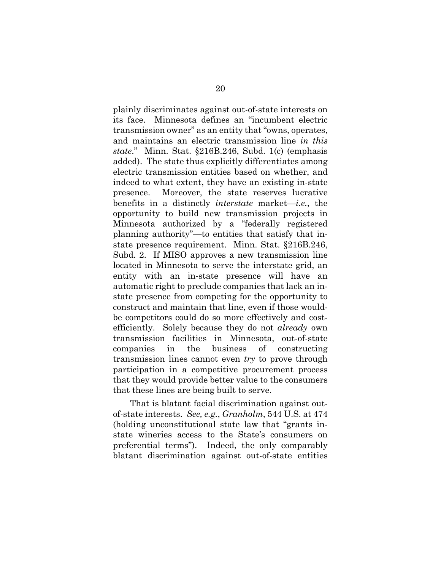plainly discriminates against out-of-state interests on its face. Minnesota defines an "incumbent electric transmission owner" as an entity that "owns, operates, and maintains an electric transmission line *in this state*." Minn. Stat. §216B.246, Subd. 1(c) (emphasis added). The state thus explicitly differentiates among electric transmission entities based on whether, and indeed to what extent, they have an existing in-state presence. Moreover, the state reserves lucrative benefits in a distinctly *interstate* market—*i.e.*, the opportunity to build new transmission projects in Minnesota authorized by a "federally registered planning authority"—to entities that satisfy that instate presence requirement. Minn. Stat. §216B.246, Subd. 2. If MISO approves a new transmission line located in Minnesota to serve the interstate grid, an entity with an in-state presence will have an automatic right to preclude companies that lack an instate presence from competing for the opportunity to construct and maintain that line, even if those wouldbe competitors could do so more effectively and costefficiently. Solely because they do not *already* own transmission facilities in Minnesota, out-of-state companies in the business of constructing transmission lines cannot even *try* to prove through participation in a competitive procurement process that they would provide better value to the consumers that these lines are being built to serve.

That is blatant facial discrimination against outof-state interests. *See, e.g.*, *Granholm*, 544 U.S. at 474 (holding unconstitutional state law that "grants instate wineries access to the State's consumers on preferential terms"). Indeed, the only comparably blatant discrimination against out-of-state entities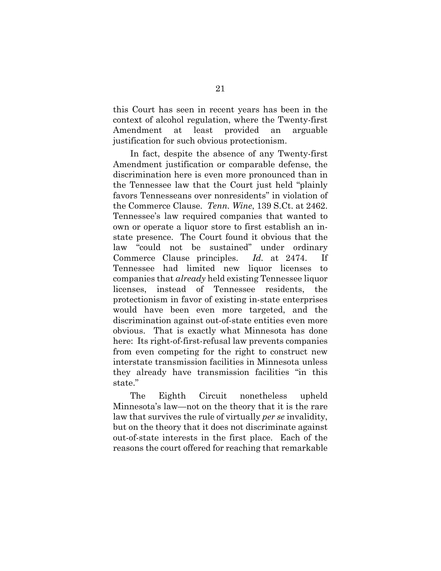this Court has seen in recent years has been in the context of alcohol regulation, where the Twenty-first Amendment at least provided an arguable justification for such obvious protectionism.

In fact, despite the absence of any Twenty-first Amendment justification or comparable defense, the discrimination here is even more pronounced than in the Tennessee law that the Court just held "plainly favors Tennesseans over nonresidents" in violation of the Commerce Clause. *Tenn. Wine*, 139 S.Ct. at 2462. Tennessee's law required companies that wanted to own or operate a liquor store to first establish an instate presence. The Court found it obvious that the law "could not be sustained" under ordinary Commerce Clause principles. *Id.* at 2474. If Tennessee had limited new liquor licenses to companies that *already* held existing Tennessee liquor licenses, instead of Tennessee residents, the protectionism in favor of existing in-state enterprises would have been even more targeted, and the discrimination against out-of-state entities even more obvious. That is exactly what Minnesota has done here: Its right-of-first-refusal law prevents companies from even competing for the right to construct new interstate transmission facilities in Minnesota unless they already have transmission facilities "in this state."

The Eighth Circuit nonetheless upheld Minnesota's law—not on the theory that it is the rare law that survives the rule of virtually *per se* invalidity, but on the theory that it does not discriminate against out-of-state interests in the first place. Each of the reasons the court offered for reaching that remarkable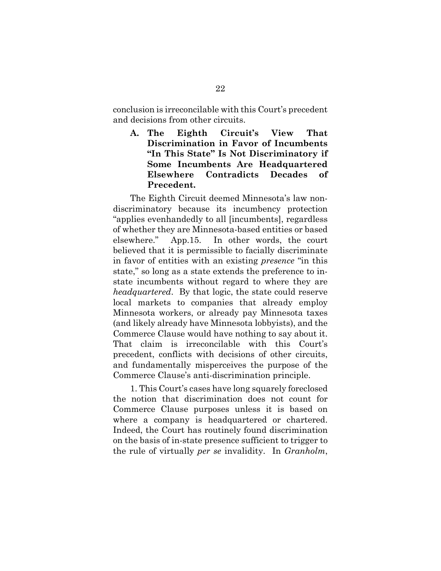conclusion is irreconcilable with this Court's precedent and decisions from other circuits.

**A. The Eighth Circuit's View That Discrimination in Favor of Incumbents "In This State" Is Not Discriminatory if Some Incumbents Are Headquartered Elsewhere Contradicts Decades of Precedent.** 

The Eighth Circuit deemed Minnesota's law nondiscriminatory because its incumbency protection "applies evenhandedly to all [incumbents], regardless of whether they are Minnesota-based entities or based elsewhere." App.15. In other words, the court believed that it is permissible to facially discriminate in favor of entities with an existing *presence* "in this state," so long as a state extends the preference to instate incumbents without regard to where they are *headquartered*. By that logic, the state could reserve local markets to companies that already employ Minnesota workers, or already pay Minnesota taxes (and likely already have Minnesota lobbyists), and the Commerce Clause would have nothing to say about it. That claim is irreconcilable with this Court's precedent, conflicts with decisions of other circuits, and fundamentally misperceives the purpose of the Commerce Clause's anti-discrimination principle.

1. This Court's cases have long squarely foreclosed the notion that discrimination does not count for Commerce Clause purposes unless it is based on where a company is headquartered or chartered. Indeed, the Court has routinely found discrimination on the basis of in-state presence sufficient to trigger to the rule of virtually *per se* invalidity. In *Granholm*,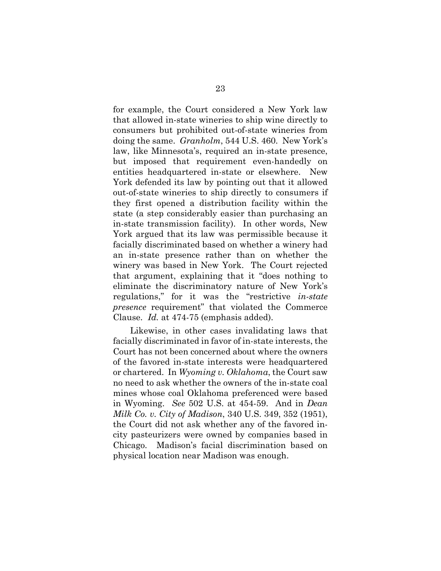for example, the Court considered a New York law that allowed in-state wineries to ship wine directly to consumers but prohibited out-of-state wineries from doing the same. *Granholm*, 544 U.S. 460. New York's law, like Minnesota's, required an in-state presence, but imposed that requirement even-handedly on entities headquartered in-state or elsewhere. New York defended its law by pointing out that it allowed out-of-state wineries to ship directly to consumers if they first opened a distribution facility within the state (a step considerably easier than purchasing an in-state transmission facility). In other words, New York argued that its law was permissible because it facially discriminated based on whether a winery had an in-state presence rather than on whether the winery was based in New York. The Court rejected that argument, explaining that it "does nothing to eliminate the discriminatory nature of New York's regulations," for it was the "restrictive *in-state presence* requirement" that violated the Commerce Clause. *Id.* at 474-75 (emphasis added).

Likewise, in other cases invalidating laws that facially discriminated in favor of in-state interests, the Court has not been concerned about where the owners of the favored in-state interests were headquartered or chartered. In *Wyoming v. Oklahoma*, the Court saw no need to ask whether the owners of the in-state coal mines whose coal Oklahoma preferenced were based in Wyoming. *See* 502 U.S. at 454-59. And in *Dean Milk Co. v. City of Madison*, 340 U.S. 349, 352 (1951), the Court did not ask whether any of the favored incity pasteurizers were owned by companies based in Chicago. Madison's facial discrimination based on physical location near Madison was enough.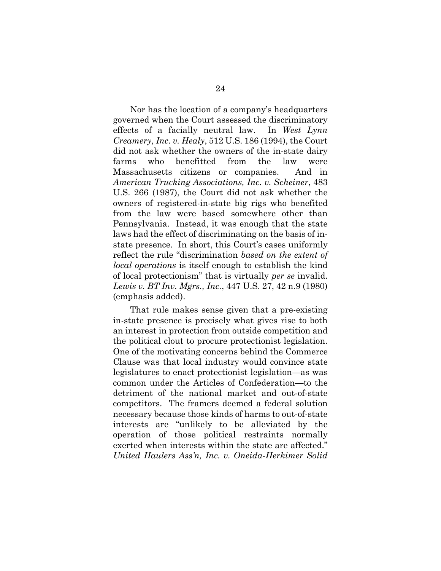Nor has the location of a company's headquarters governed when the Court assessed the discriminatory effects of a facially neutral law. In *West Lynn Creamery, Inc. v. Healy*, 512 U.S. 186 (1994), the Court did not ask whether the owners of the in-state dairy farms who benefitted from the law were Massachusetts citizens or companies. And in *American Trucking Associations, Inc. v. Scheiner*, 483 U.S. 266 (1987), the Court did not ask whether the owners of registered-in-state big rigs who benefited from the law were based somewhere other than Pennsylvania. Instead, it was enough that the state laws had the effect of discriminating on the basis of instate presence. In short, this Court's cases uniformly reflect the rule "discrimination *based on the extent of local operations* is itself enough to establish the kind of local protectionism" that is virtually *per se* invalid. *Lewis v. BT Inv. Mgrs., Inc.*, 447 U.S. 27, 42 n.9 (1980) (emphasis added).

That rule makes sense given that a pre-existing in-state presence is precisely what gives rise to both an interest in protection from outside competition and the political clout to procure protectionist legislation. One of the motivating concerns behind the Commerce Clause was that local industry would convince state legislatures to enact protectionist legislation—as was common under the Articles of Confederation—to the detriment of the national market and out-of-state competitors. The framers deemed a federal solution necessary because those kinds of harms to out-of-state interests are "unlikely to be alleviated by the operation of those political restraints normally exerted when interests within the state are affected." *United Haulers Ass'n, Inc. v. Oneida-Herkimer Solid*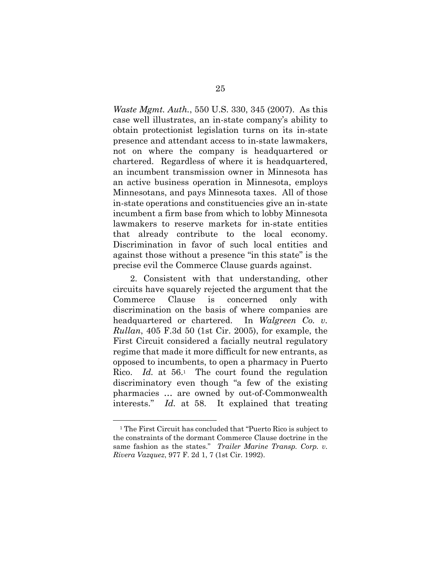*Waste Mgmt. Auth.*, 550 U.S. 330, 345 (2007). As this case well illustrates, an in-state company's ability to obtain protectionist legislation turns on its in-state presence and attendant access to in-state lawmakers, not on where the company is headquartered or chartered. Regardless of where it is headquartered, an incumbent transmission owner in Minnesota has an active business operation in Minnesota, employs Minnesotans, and pays Minnesota taxes. All of those in-state operations and constituencies give an in-state incumbent a firm base from which to lobby Minnesota lawmakers to reserve markets for in-state entities that already contribute to the local economy. Discrimination in favor of such local entities and against those without a presence "in this state" is the precise evil the Commerce Clause guards against.

2. Consistent with that understanding, other circuits have squarely rejected the argument that the Commerce Clause is concerned only with discrimination on the basis of where companies are headquartered or chartered. In *Walgreen Co. v. Rullan*, 405 F.3d 50 (1st Cir. 2005), for example, the First Circuit considered a facially neutral regulatory regime that made it more difficult for new entrants, as opposed to incumbents, to open a pharmacy in Puerto Rico. *Id.* at 56.1 The court found the regulation discriminatory even though "a few of the existing pharmacies … are owned by out-of-Commonwealth interests." *Id.* at 58. It explained that treating

<u>.</u>

<sup>1</sup> The First Circuit has concluded that "Puerto Rico is subject to the constraints of the dormant Commerce Clause doctrine in the same fashion as the states." *Trailer Marine Transp. Corp. v. Rivera Vazquez*, 977 F. 2d 1, 7 (1st Cir. 1992).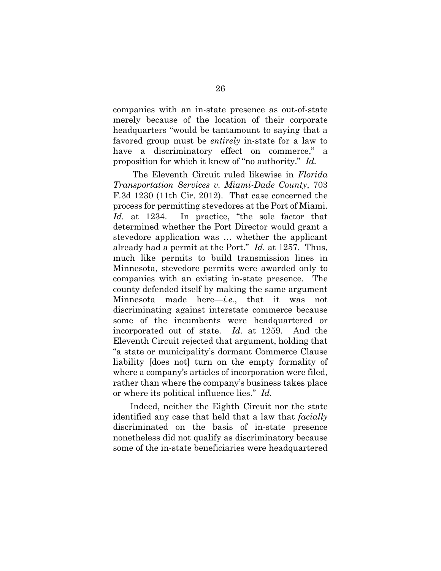companies with an in-state presence as out-of-state merely because of the location of their corporate headquarters "would be tantamount to saying that a favored group must be *entirely* in-state for a law to have a discriminatory effect on commerce," a proposition for which it knew of "no authority." *Id.*

The Eleventh Circuit ruled likewise in *Florida Transportation Services v. Miami-Dade County*, 703 F.3d 1230 (11th Cir. 2012). That case concerned the process for permitting stevedores at the Port of Miami. Id. at 1234. In practice, "the sole factor that determined whether the Port Director would grant a stevedore application was … whether the applicant already had a permit at the Port." *Id.* at 1257. Thus, much like permits to build transmission lines in Minnesota, stevedore permits were awarded only to companies with an existing in-state presence. The county defended itself by making the same argument Minnesota made here—*i.e.*, that it was not discriminating against interstate commerce because some of the incumbents were headquartered or incorporated out of state. *Id.* at 1259. And the Eleventh Circuit rejected that argument, holding that "a state or municipality's dormant Commerce Clause liability [does not] turn on the empty formality of where a company's articles of incorporation were filed, rather than where the company's business takes place or where its political influence lies." *Id.*

Indeed, neither the Eighth Circuit nor the state identified any case that held that a law that *facially* discriminated on the basis of in-state presence nonetheless did not qualify as discriminatory because some of the in-state beneficiaries were headquartered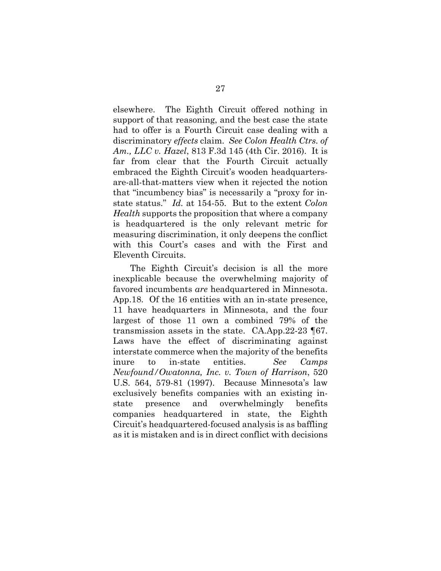elsewhere. The Eighth Circuit offered nothing in support of that reasoning, and the best case the state had to offer is a Fourth Circuit case dealing with a discriminatory *effects* claim. *See Colon Health Ctrs. of Am., LLC v. Hazel*, 813 F.3d 145 (4th Cir. 2016). It is far from clear that the Fourth Circuit actually embraced the Eighth Circuit's wooden headquartersare-all-that-matters view when it rejected the notion that "incumbency bias" is necessarily a "proxy for instate status." *Id.* at 154-55. But to the extent *Colon Health* supports the proposition that where a company is headquartered is the only relevant metric for measuring discrimination, it only deepens the conflict with this Court's cases and with the First and Eleventh Circuits.

The Eighth Circuit's decision is all the more inexplicable because the overwhelming majority of favored incumbents *are* headquartered in Minnesota. App.18. Of the 16 entities with an in-state presence, 11 have headquarters in Minnesota, and the four largest of those 11 own a combined 79% of the transmission assets in the state. CA.App.22-23 ¶67. Laws have the effect of discriminating against interstate commerce when the majority of the benefits inure to in-state entities. *See Camps Newfound/Owatonna, Inc. v. Town of Harrison*, 520 U.S. 564, 579-81 (1997). Because Minnesota's law exclusively benefits companies with an existing instate presence and overwhelmingly benefits companies headquartered in state, the Eighth Circuit's headquartered-focused analysis is as baffling as it is mistaken and is in direct conflict with decisions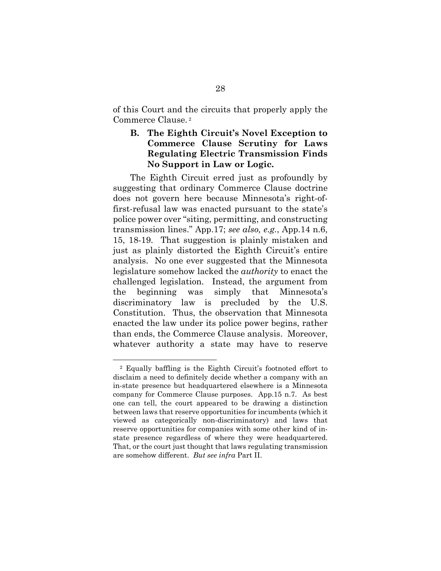of this Court and the circuits that properly apply the Commerce Clause. 2

## **B. The Eighth Circuit's Novel Exception to Commerce Clause Scrutiny for Laws Regulating Electric Transmission Finds No Support in Law or Logic.**

The Eighth Circuit erred just as profoundly by suggesting that ordinary Commerce Clause doctrine does not govern here because Minnesota's right-offirst-refusal law was enacted pursuant to the state's police power over "siting, permitting, and constructing transmission lines." App.17; *see also, e.g.*, App.14 n.6, 15, 18-19. That suggestion is plainly mistaken and just as plainly distorted the Eighth Circuit's entire analysis. No one ever suggested that the Minnesota legislature somehow lacked the *authority* to enact the challenged legislation. Instead, the argument from the beginning was simply that Minnesota's discriminatory law is precluded by the U.S. Constitution. Thus, the observation that Minnesota enacted the law under its police power begins, rather than ends, the Commerce Clause analysis. Moreover, whatever authority a state may have to reserve

<u>.</u>

<sup>2</sup> Equally baffling is the Eighth Circuit's footnoted effort to disclaim a need to definitely decide whether a company with an in-state presence but headquartered elsewhere is a Minnesota company for Commerce Clause purposes. App.15 n.7. As best one can tell, the court appeared to be drawing a distinction between laws that reserve opportunities for incumbents (which it viewed as categorically non-discriminatory) and laws that reserve opportunities for companies with some other kind of instate presence regardless of where they were headquartered. That, or the court just thought that laws regulating transmission are somehow different. *But see infra* Part II.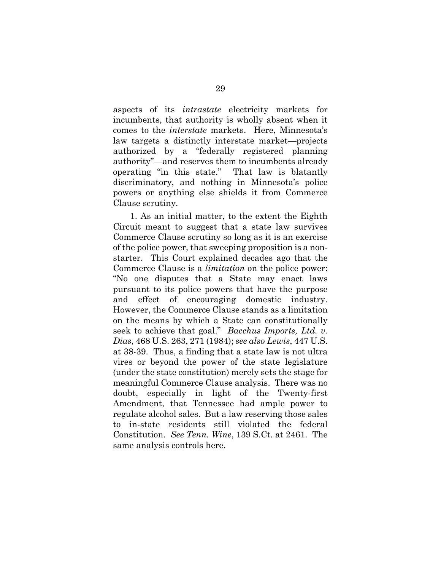aspects of its *intrastate* electricity markets for incumbents, that authority is wholly absent when it comes to the *interstate* markets. Here, Minnesota's law targets a distinctly interstate market—projects authorized by a "federally registered planning authority"—and reserves them to incumbents already operating "in this state." That law is blatantly discriminatory, and nothing in Minnesota's police powers or anything else shields it from Commerce Clause scrutiny.

1. As an initial matter, to the extent the Eighth Circuit meant to suggest that a state law survives Commerce Clause scrutiny so long as it is an exercise of the police power, that sweeping proposition is a nonstarter. This Court explained decades ago that the Commerce Clause is a *limitation* on the police power: "No one disputes that a State may enact laws pursuant to its police powers that have the purpose and effect of encouraging domestic industry. However, the Commerce Clause stands as a limitation on the means by which a State can constitutionally seek to achieve that goal." *Bacchus Imports, Ltd. v. Dias*, 468 U.S. 263, 271 (1984); *see also Lewis*, 447 U.S. at 38-39. Thus, a finding that a state law is not ultra vires or beyond the power of the state legislature (under the state constitution) merely sets the stage for meaningful Commerce Clause analysis. There was no doubt, especially in light of the Twenty-first Amendment, that Tennessee had ample power to regulate alcohol sales. But a law reserving those sales to in-state residents still violated the federal Constitution. *See Tenn. Wine*, 139 S.Ct. at 2461. The same analysis controls here.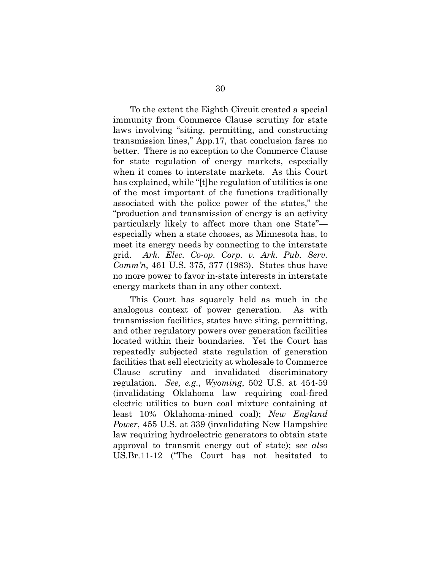To the extent the Eighth Circuit created a special immunity from Commerce Clause scrutiny for state laws involving "siting, permitting, and constructing transmission lines," App.17, that conclusion fares no better. There is no exception to the Commerce Clause for state regulation of energy markets, especially when it comes to interstate markets. As this Court has explained, while "[t]he regulation of utilities is one of the most important of the functions traditionally associated with the police power of the states," the "production and transmission of energy is an activity particularly likely to affect more than one State" especially when a state chooses, as Minnesota has, to meet its energy needs by connecting to the interstate grid. *Ark. Elec. Co-op. Corp. v. Ark. Pub. Serv. Comm'n*, 461 U.S. 375, 377 (1983). States thus have no more power to favor in-state interests in interstate energy markets than in any other context.

This Court has squarely held as much in the analogous context of power generation. As with transmission facilities, states have siting, permitting, and other regulatory powers over generation facilities located within their boundaries. Yet the Court has repeatedly subjected state regulation of generation facilities that sell electricity at wholesale to Commerce Clause scrutiny and invalidated discriminatory regulation. *See, e.g*., *Wyoming*, 502 U.S. at 454-59 (invalidating Oklahoma law requiring coal-fired electric utilities to burn coal mixture containing at least 10% Oklahoma-mined coal); *New England Power*, 455 U.S. at 339 (invalidating New Hampshire law requiring hydroelectric generators to obtain state approval to transmit energy out of state); *see also*  US.Br.11-12 ("The Court has not hesitated to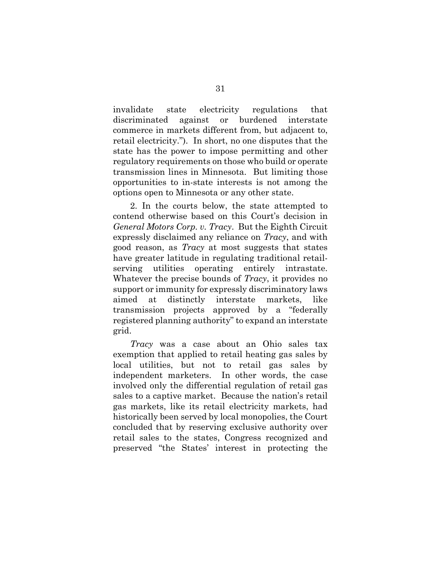invalidate state electricity regulations that discriminated against or burdened interstate commerce in markets different from, but adjacent to, retail electricity."). In short, no one disputes that the state has the power to impose permitting and other regulatory requirements on those who build or operate transmission lines in Minnesota. But limiting those opportunities to in-state interests is not among the options open to Minnesota or any other state.

2. In the courts below, the state attempted to contend otherwise based on this Court's decision in *General Motors Corp. v. Tracy*. But the Eighth Circuit expressly disclaimed any reliance on *Tracy*, and with good reason, as *Tracy* at most suggests that states have greater latitude in regulating traditional retailserving utilities operating entirely intrastate. Whatever the precise bounds of *Tracy*, it provides no support or immunity for expressly discriminatory laws aimed at distinctly interstate markets, like transmission projects approved by a "federally registered planning authority" to expand an interstate grid.

*Tracy* was a case about an Ohio sales tax exemption that applied to retail heating gas sales by local utilities, but not to retail gas sales by independent marketers. In other words, the case involved only the differential regulation of retail gas sales to a captive market. Because the nation's retail gas markets, like its retail electricity markets, had historically been served by local monopolies, the Court concluded that by reserving exclusive authority over retail sales to the states, Congress recognized and preserved "the States' interest in protecting the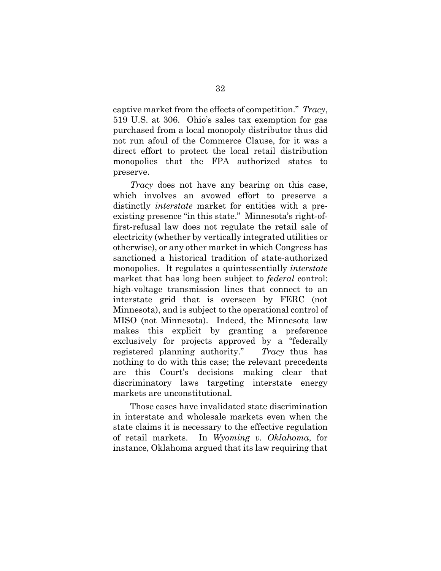captive market from the effects of competition." *Tracy*, 519 U.S. at 306. Ohio's sales tax exemption for gas purchased from a local monopoly distributor thus did not run afoul of the Commerce Clause, for it was a direct effort to protect the local retail distribution monopolies that the FPA authorized states to preserve.

*Tracy* does not have any bearing on this case, which involves an avowed effort to preserve a distinctly *interstate* market for entities with a preexisting presence "in this state." Minnesota's right-offirst-refusal law does not regulate the retail sale of electricity (whether by vertically integrated utilities or otherwise), or any other market in which Congress has sanctioned a historical tradition of state-authorized monopolies. It regulates a quintessentially *interstate* market that has long been subject to *federal* control: high-voltage transmission lines that connect to an interstate grid that is overseen by FERC (not Minnesota), and is subject to the operational control of MISO (not Minnesota). Indeed, the Minnesota law makes this explicit by granting a preference exclusively for projects approved by a "federally registered planning authority." *Tracy* thus has nothing to do with this case; the relevant precedents are this Court's decisions making clear that discriminatory laws targeting interstate energy markets are unconstitutional.

Those cases have invalidated state discrimination in interstate and wholesale markets even when the state claims it is necessary to the effective regulation of retail markets. In *Wyoming v. Oklahoma*, for instance, Oklahoma argued that its law requiring that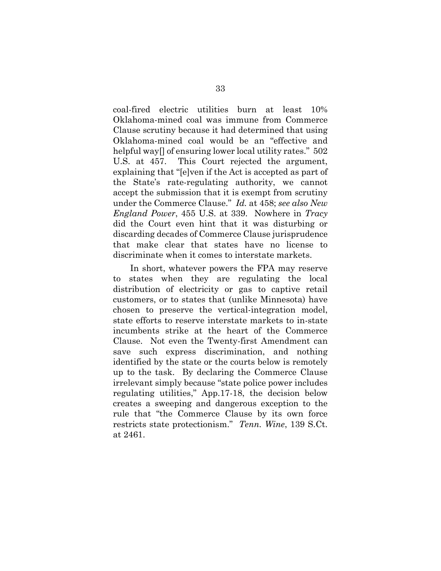coal-fired electric utilities burn at least 10% Oklahoma-mined coal was immune from Commerce Clause scrutiny because it had determined that using Oklahoma-mined coal would be an "effective and helpful way<sup>[]</sup> of ensuring lower local utility rates." 502 U.S. at 457. This Court rejected the argument, explaining that "[e]ven if the Act is accepted as part of the State's rate-regulating authority, we cannot accept the submission that it is exempt from scrutiny under the Commerce Clause." *Id.* at 458; *see also New England Power*, 455 U.S. at 339. Nowhere in *Tracy* did the Court even hint that it was disturbing or discarding decades of Commerce Clause jurisprudence that make clear that states have no license to discriminate when it comes to interstate markets.

In short, whatever powers the FPA may reserve to states when they are regulating the local distribution of electricity or gas to captive retail customers, or to states that (unlike Minnesota) have chosen to preserve the vertical-integration model, state efforts to reserve interstate markets to in-state incumbents strike at the heart of the Commerce Clause. Not even the Twenty-first Amendment can save such express discrimination, and nothing identified by the state or the courts below is remotely up to the task. By declaring the Commerce Clause irrelevant simply because "state police power includes regulating utilities," App.17-18, the decision below creates a sweeping and dangerous exception to the rule that "the Commerce Clause by its own force restricts state protectionism." *Tenn. Wine*, 139 S.Ct. at 2461.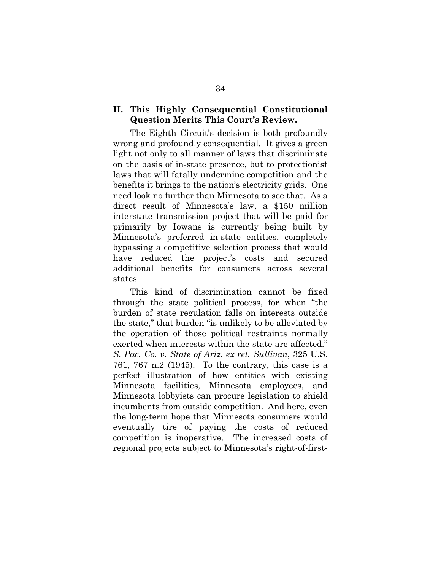## **II. This Highly Consequential Constitutional Question Merits This Court's Review.**

The Eighth Circuit's decision is both profoundly wrong and profoundly consequential. It gives a green light not only to all manner of laws that discriminate on the basis of in-state presence, but to protectionist laws that will fatally undermine competition and the benefits it brings to the nation's electricity grids. One need look no further than Minnesota to see that. As a direct result of Minnesota's law, a \$150 million interstate transmission project that will be paid for primarily by Iowans is currently being built by Minnesota's preferred in-state entities, completely bypassing a competitive selection process that would have reduced the project's costs and secured additional benefits for consumers across several states.

This kind of discrimination cannot be fixed through the state political process, for when "the burden of state regulation falls on interests outside the state," that burden "is unlikely to be alleviated by the operation of those political restraints normally exerted when interests within the state are affected." *S. Pac. Co. v. State of Ariz. ex rel. Sullivan*, 325 U.S. 761, 767 n.2 (1945). To the contrary, this case is a perfect illustration of how entities with existing Minnesota facilities, Minnesota employees, and Minnesota lobbyists can procure legislation to shield incumbents from outside competition. And here, even the long-term hope that Minnesota consumers would eventually tire of paying the costs of reduced competition is inoperative. The increased costs of regional projects subject to Minnesota's right-of-first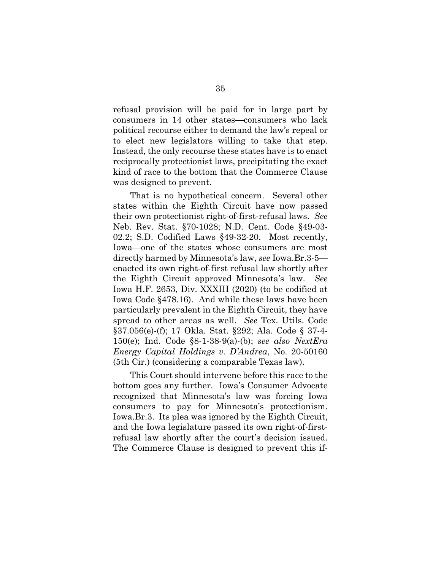refusal provision will be paid for in large part by consumers in 14 other states—consumers who lack political recourse either to demand the law's repeal or to elect new legislators willing to take that step. Instead, the only recourse these states have is to enact reciprocally protectionist laws, precipitating the exact kind of race to the bottom that the Commerce Clause was designed to prevent.

That is no hypothetical concern. Several other states within the Eighth Circuit have now passed their own protectionist right-of-first-refusal laws. *See*  Neb. Rev. Stat. §70-1028; N.D. Cent. Code §49-03- 02.2; S.D. Codified Laws §49-32-20. Most recently, Iowa—one of the states whose consumers are most directly harmed by Minnesota's law, *see* Iowa.Br.3-5 enacted its own right-of-first refusal law shortly after the Eighth Circuit approved Minnesota's law. *See* Iowa H.F. 2653, Div. XXXIII (2020) (to be codified at Iowa Code §478.16). And while these laws have been particularly prevalent in the Eighth Circuit, they have spread to other areas as well. *See* Tex. Utils. Code §37.056(e)-(f); 17 Okla. Stat. §292; Ala. Code § 37-4- 150(e); Ind. Code §8-1-38-9(a)-(b); *see also NextEra Energy Capital Holdings v. D'Andrea*, No. 20-50160 (5th Cir.) (considering a comparable Texas law).

This Court should intervene before this race to the bottom goes any further. Iowa's Consumer Advocate recognized that Minnesota's law was forcing Iowa consumers to pay for Minnesota's protectionism. Iowa.Br.3. Its plea was ignored by the Eighth Circuit, and the Iowa legislature passed its own right-of-firstrefusal law shortly after the court's decision issued. The Commerce Clause is designed to prevent this if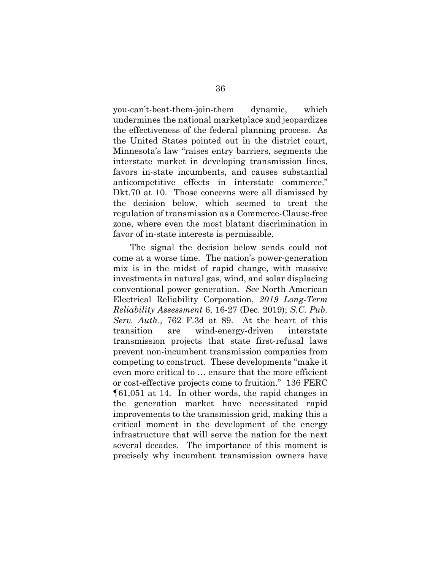you-can't-beat-them-join-them dynamic, which undermines the national marketplace and jeopardizes the effectiveness of the federal planning process. As the United States pointed out in the district court, Minnesota's law "raises entry barriers, segments the interstate market in developing transmission lines, favors in-state incumbents, and causes substantial anticompetitive effects in interstate commerce." Dkt.70 at 10. Those concerns were all dismissed by the decision below, which seemed to treat the regulation of transmission as a Commerce-Clause-free zone, where even the most blatant discrimination in favor of in-state interests is permissible.

The signal the decision below sends could not come at a worse time. The nation's power-generation mix is in the midst of rapid change, with massive investments in natural gas, wind, and solar displacing conventional power generation. *See* North American Electrical Reliability Corporation, *2019 Long-Term Reliability Assessment* 6, 16-27 (Dec. 2019); *S.C. Pub. Serv. Auth*., 762 F.3d at 89. At the heart of this transition are wind-energy-driven interstate transmission projects that state first-refusal laws prevent non-incumbent transmission companies from competing to construct. These developments "make it even more critical to … ensure that the more efficient or cost-effective projects come to fruition." 136 FERC ¶61,051 at 14. In other words, the rapid changes in the generation market have necessitated rapid improvements to the transmission grid, making this a critical moment in the development of the energy infrastructure that will serve the nation for the next several decades. The importance of this moment is precisely why incumbent transmission owners have